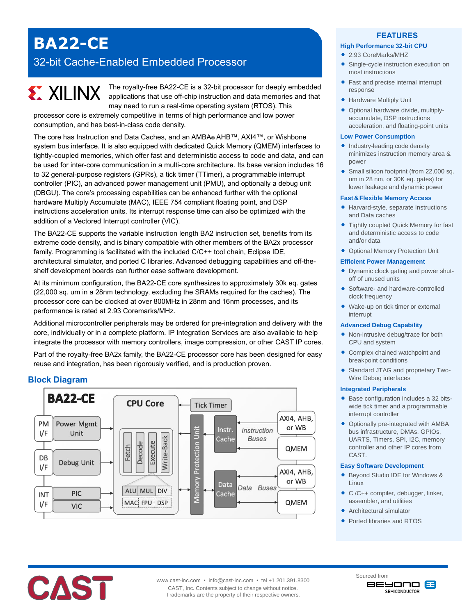# **BA22-CE**

## 32-bit Cache-Enabled Embedded Processor

#### The royalty-free BA22-CE is a 32-bit processor for deeply embedded **EXILINX** applications that use off-chip instruction and data memories and that may need to run a real-time operating system (RTOS). This

processor core is extremely competitive in terms of high performance and low power consumption, and has best-in-class code density.

The core has Instruction and Data Caches, and an AMBA® AHB™, AXI4™, or Wishbone system bus interface. It is also equipped with dedicated Quick Memory (QMEM) interfaces to tightly-coupled memories, which offer fast and deterministic access to code and data, and can be used for inter-core communication in a multi-core architecture. Its base version includes 16 to 32 general-purpose registers (GPRs), a tick timer (TTimer), a programmable interrupt controller (PIC), an advanced power management unit (PMU), and optionally a debug unit (DBGU). The core's processing capabilities can be enhanced further with the optional hardware Multiply Accumulate (MAC), IEEE 754 compliant floating point, and DSP instructions acceleration units. Its interrupt response time can also be optimized with the addition of a Vectored Interrupt controller (VIC).

The BA22-CE supports the variable instruction length BA2 instruction set, benefits from its extreme code density, and is binary compatible with other members of the BA2x processor family. Programming is facilitated with the included C/C++ tool chain, Eclipse IDE, architectural simulator, and ported C libraries. Advanced debugging capabilities and off-theshelf development boards can further ease software development.

At its minimum configuration, the BA22-CE core synthesizes to approximately 30k eq. gates (22,000 sq. um in a 28nm technology, excluding the SRAMs required for the caches). The processor core can be clocked at over 800MHz in 28nm and 16nm processes, and its performance is rated at 2.93 Coremarks/MHz.

Additional microcontroller peripherals may be ordered for pre-integration and delivery with the core, individually or in a complete platform. IP Integration Services are also available to help integrate the processor with memory controllers, image compression, or other CAST IP cores.

Part of the royalty-free BA2x family, the BA22-CE processor core has been designed for easy reuse and integration, has been rigorously verified, and is production proven.

## **Block Diagram**



#### **FEATURES**

#### **High Performance 32-bit CPU**

- 2.93 CoreMarks/MHZ
- Single-cycle instruction execution on most instructions
- Fast and precise internal interrupt response
- **Hardware Multiply Unit**
- Optional hardware divide, multiplyaccumulate, DSP instructions acceleration, and floating-point units

#### **Low Power Consumption**

- Industry-leading code density minimizes instruction memory area & power
- Small silicon footprint (from 22,000 sq. um in 28 nm, or 30K eq. gates) for lower leakage and dynamic power

#### **Fast&Flexible Memory Access**

- Harvard-style, separate Instructions and Data caches
- Tightly coupled Quick Memory for fast and deterministic access to code and/or data
- Optional Memory Protection Unit

#### **Efficient Power Management**

- Dynamic clock gating and power shutoff of unused units
- Software- and hardware-controlled clock frequency
- Wake-up on tick timer or external interrupt

#### **Advanced Debug Capability**

- Non-intrusive debug/trace for both CPU and system
- Complex chained watchpoint and breakpoint conditions
- Standard JTAG and proprietary Two-Wire Debug interfaces

#### **Integrated Peripherals**

- Base configuration includes a 32 bitswide tick timer and a programmable interrupt controller
- Optionally pre-integrated with AMBA bus infrastructure, DMAs, GPIOs, UARTS, Timers, SPI, I2C, memory controller and other IP cores from CAST.

#### **Easy Software Development**

- Beyond Studio IDE for Windows & Linux
- C /C++ compiler, debugger, linker, assembler, and utilities
- Architectural simulator
- Ported libraries and RTOS